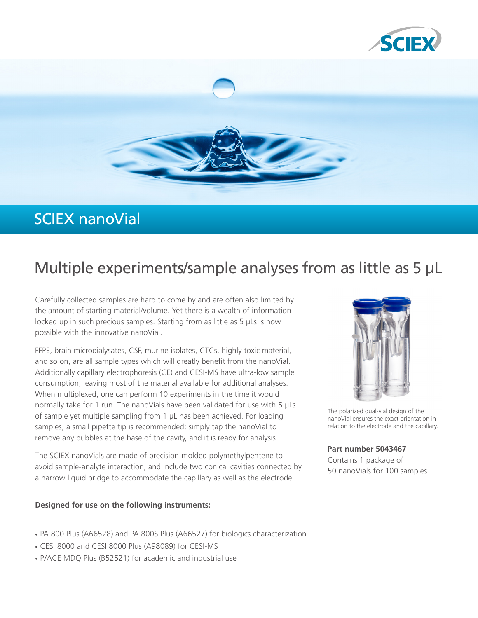



## SCIEX nanoVial

# Multiple experiments/sample analyses from as little as 5 µL

Carefully collected samples are hard to come by and are often also limited by the amount of starting material/volume. Yet there is a wealth of information locked up in such precious samples. Starting from as little as 5 µLs is now possible with the innovative nanoVial.

FFPE, brain microdialysates, CSF, murine isolates, CTCs, highly toxic material, and so on, are all sample types which will greatly benefit from the nanoVial. Additionally capillary electrophoresis (CE) and CESI-MS have ultra-low sample consumption, leaving most of the material available for additional analyses. When multiplexed, one can perform 10 experiments in the time it would normally take for 1 run. The nanoVials have been validated for use with 5 µLs of sample yet multiple sampling from 1 µL has been achieved. For loading samples, a small pipette tip is recommended; simply tap the nanoVial to remove any bubbles at the base of the cavity, and it is ready for analysis.

The SCIEX nanoVials are made of precision-molded polymethylpentene to avoid sample-analyte interaction, and include two conical cavities connected by a narrow liquid bridge to accommodate the capillary as well as the electrode.

#### **Designed for use on the following instruments:**

- [PA 800 Plus \(A66528\) and PA 800S Plus \(A66527\) for biologics characterization](http://sciex.com/products/capillary-electrophoresis-instruments/pa-800-plus-pharmaceutical-analysis-system)
- [CESI 8000 and CESI 8000 Plus \(A98089\) for CESI-MS](http://sciex.com/products/capillary-electrophoresis-instruments/cesi-8000-plus-high-performance-separation-esi-module)
- [P/ACE MDQ Plus \(B52521\) for academic and industrial use](http://sciex.com/products/capillary-electrophoresis-instruments/p/ace-mdq-plus)



The polarized dual-vial design of the nanoVial ensures the exact orientation in relation to the electrode and the capillary.

#### **Part number 5043467**

Contains 1 package of 50 nanoVials for 100 samples